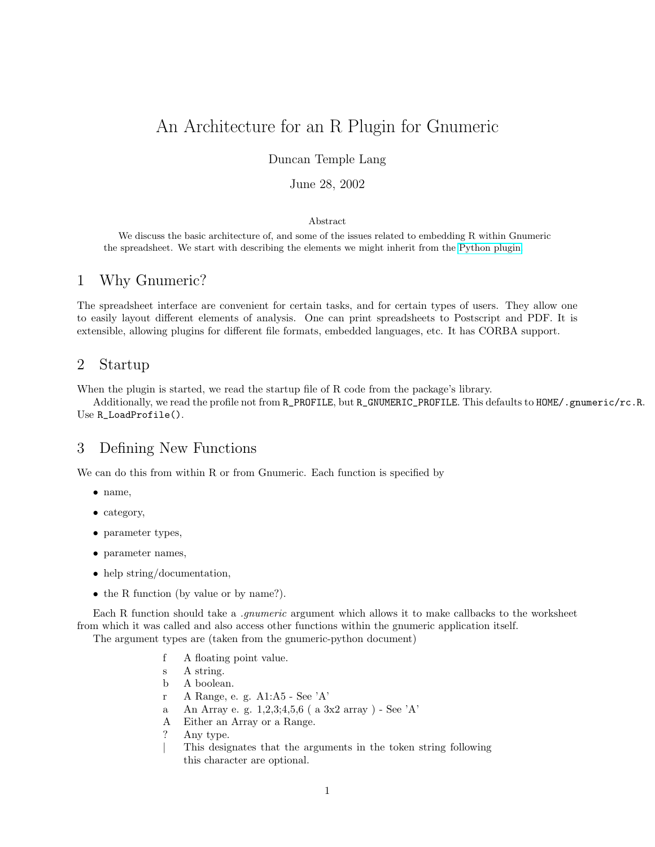# An Architecture for an R Plugin for Gnumeric

### Duncan Temple Lang

### June 28, 2002

#### Abstract

We discuss the basic architecture of, and some of the issues related to embedding R within Gnumeric the spreadsheet. We start with describing the elements we might inherit from the [Python plugin.](http://cvs.gnome.org/lxr/source/gnumeric/doc/python-gnumeric.txt)

### 1 Why Gnumeric?

The spreadsheet interface are convenient for certain tasks, and for certain types of users. They allow one to easily layout different elements of analysis. One can print spreadsheets to Postscript and PDF. It is extensible, allowing plugins for different file formats, embedded languages, etc. It has CORBA support.

### 2 Startup

When the plugin is started, we read the startup file of R code from the package's library.

Additionally, we read the profile not from R\_PROFILE, but R\_GNUMERIC\_PROFILE. This defaults to HOME/.gnumeric/rc.R. Use R\_LoadProfile().

## 3 Defining New Functions

We can do this from within R or from Gnumeric. Each function is specified by

- name,
- category,
- parameter types,
- parameter names,
- help string/documentation,
- the R function (by value or by name?).

Each R function should take a *.gnumeric* argument which allows it to make callbacks to the worksheet from which it was called and also access other functions within the gnumeric application itself.

The argument types are (taken from the gnumeric-python document)

- f A floating point value.
- s A string.
- b A boolean.
- r A Range, e. g. A1:A5 See 'A'
- a An Array e. g. 1,2,3;4,5,6 ( a 3x2 array ) See 'A'
- A Either an Array or a Range.
- ? Any type.
- | This designates that the arguments in the token string following this character are optional.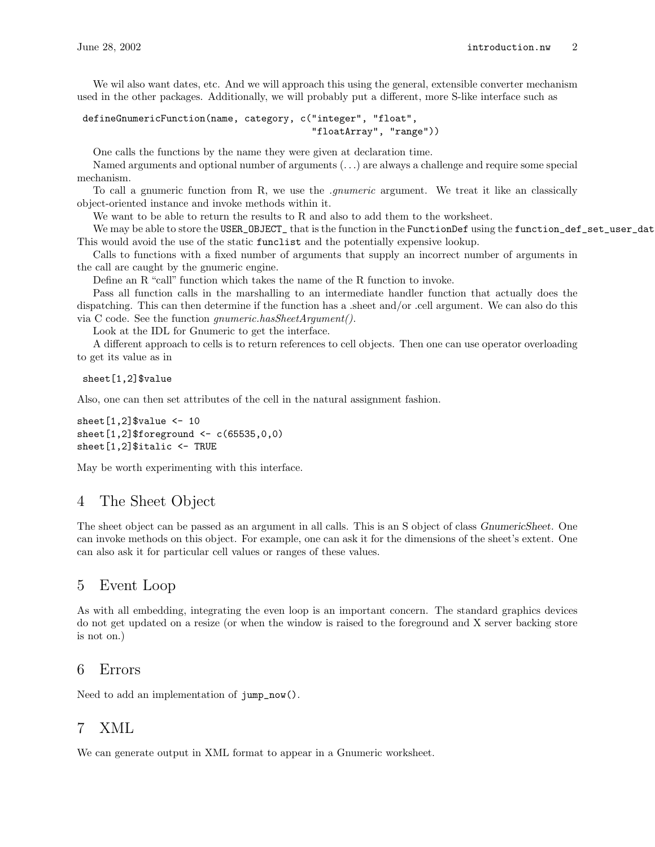We wil also want dates, etc. And we will approach this using the general, extensible converter mechanism used in the other packages. Additionally, we will probably put a different, more S-like interface such as

```
defineGnumericFunction(name, category, c("integer", "float",
                                          "floatArray", "range"))
```
One calls the functions by the name they were given at declaration time.

Named arguments and optional number of arguments (. . .) are always a challenge and require some special mechanism.

To call a gnumeric function from R, we use the .gnumeric argument. We treat it like an classically object-oriented instance and invoke methods within it.

We want to be able to return the results to R and also to add them to the worksheet.

We may be able to store the USER\_OBJECT\_ that is the function in the FunctionDef using the function\_def\_set\_user\_dat This would avoid the use of the static funclist and the potentially expensive lookup.

Calls to functions with a fixed number of arguments that supply an incorrect number of arguments in the call are caught by the gnumeric engine.

Define an R "call" function which takes the name of the R function to invoke.

Pass all function calls in the marshalling to an intermediate handler function that actually does the dispatching. This can then determine if the function has a .sheet and/or .cell argument. We can also do this via C code. See the function gnumeric.hasSheetArgument().

Look at the IDL for Gnumeric to get the interface.

A different approach to cells is to return references to cell objects. Then one can use operator overloading to get its value as in

#### sheet[1,2]\$value

Also, one can then set attributes of the cell in the natural assignment fashion.

```
sheet[1,2]$value \leq 10
sheet[1,2]$foreground <- c(65535,0,0)sheet[1,2]$italic <- TRUE
```
May be worth experimenting with this interface.

### 4 The Sheet Object

The sheet object can be passed as an argument in all calls. This is an S object of class GnumericSheet. One can invoke methods on this object. For example, one can ask it for the dimensions of the sheet's extent. One can also ask it for particular cell values or ranges of these values.

### 5 Event Loop

As with all embedding, integrating the even loop is an important concern. The standard graphics devices do not get updated on a resize (or when the window is raised to the foreground and X server backing store is not on.)

### 6 Errors

Need to add an implementation of jump\_now().

# 7 XML

We can generate output in XML format to appear in a Gnumeric worksheet.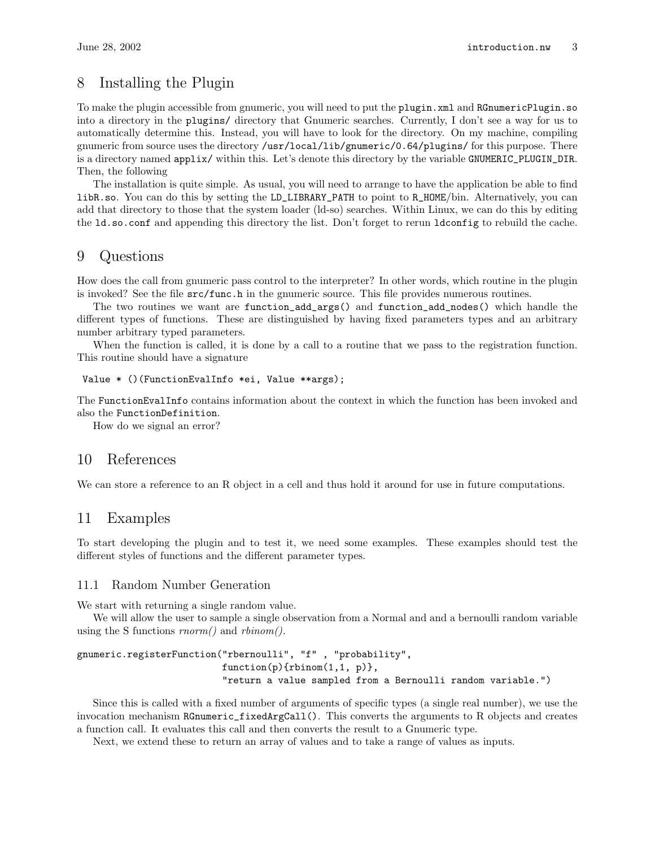### 8 Installing the Plugin

To make the plugin accessible from gnumeric, you will need to put the plugin.xml and RGnumericPlugin.so into a directory in the plugins/ directory that Gnumeric searches. Currently, I don't see a way for us to automatically determine this. Instead, you will have to look for the directory. On my machine, compiling gnumeric from source uses the directory /usr/local/lib/gnumeric/0.64/plugins/ for this purpose. There is a directory named applix/ within this. Let's denote this directory by the variable GNUMERIC\_PLUGIN\_DIR. Then, the following

The installation is quite simple. As usual, you will need to arrange to have the application be able to find libR.so. You can do this by setting the LD\_LIBRARY\_PATH to point to R\_HOME/bin. Alternatively, you can add that directory to those that the system loader (ld-so) searches. Within Linux, we can do this by editing the ld.so.conf and appending this directory the list. Don't forget to rerun ldconfig to rebuild the cache.

### 9 Questions

How does the call from gnumeric pass control to the interpreter? In other words, which routine in the plugin is invoked? See the file  $src/func.h$  in the gnumeric source. This file provides numerous routines.

The two routines we want are function\_add\_args() and function\_add\_nodes() which handle the different types of functions. These are distinguished by having fixed parameters types and an arbitrary number arbitrary typed parameters.

When the function is called, it is done by a call to a routine that we pass to the registration function. This routine should have a signature

#### Value \* ()(FunctionEvalInfo \*ei, Value \*\*args);

The FunctionEvalInfo contains information about the context in which the function has been invoked and also the FunctionDefinition.

How do we signal an error?

### 10 References

We can store a reference to an R object in a cell and thus hold it around for use in future computations.

### 11 Examples

To start developing the plugin and to test it, we need some examples. These examples should test the different styles of functions and the different parameter types.

#### 11.1 Random Number Generation

We start with returning a single random value.

We will allow the user to sample a single observation from a Normal and and a bernoulli random variable using the S functions  $rnorm()$  and  $rbinom()$ .

gnumeric.registerFunction("rbernoulli", "f" , "probability",  $function(p)$ { $rbinom(1,1, p)$ }, "return a value sampled from a Bernoulli random variable.")

Since this is called with a fixed number of arguments of specific types (a single real number), we use the invocation mechanism RGnumeric\_fixedArgCall(). This converts the arguments to R objects and creates a function call. It evaluates this call and then converts the result to a Gnumeric type.

Next, we extend these to return an array of values and to take a range of values as inputs.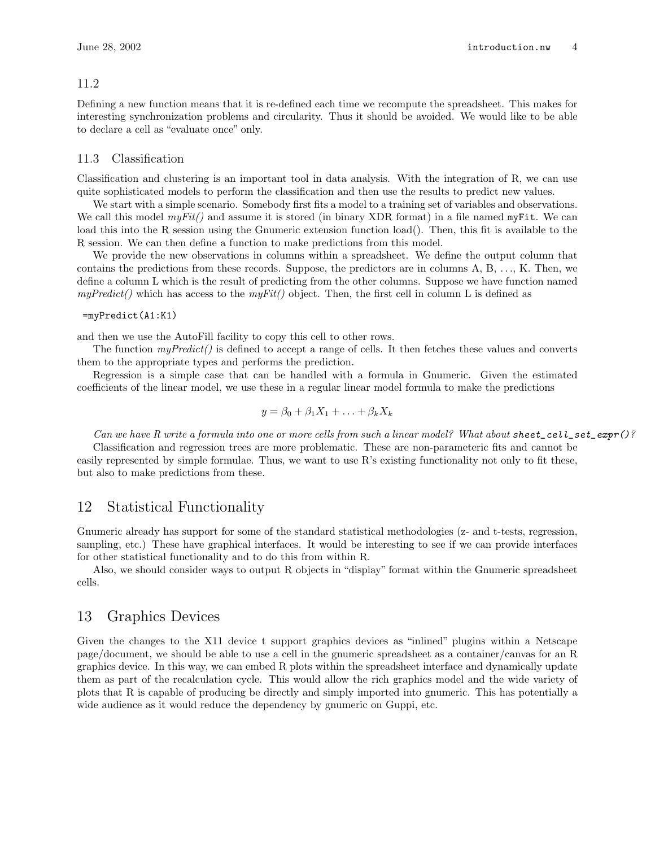#### 11.2

Defining a new function means that it is re-defined each time we recompute the spreadsheet. This makes for interesting synchronization problems and circularity. Thus it should be avoided. We would like to be able to declare a cell as "evaluate once" only.

#### 11.3 Classification

Classification and clustering is an important tool in data analysis. With the integration of R, we can use quite sophisticated models to perform the classification and then use the results to predict new values.

We start with a simple scenario. Somebody first fits a model to a training set of variables and observations. We call this model  $myFit()$  and assume it is stored (in binary XDR format) in a file named  $myFit$ . We can load this into the R session using the Gnumeric extension function load(). Then, this fit is available to the R session. We can then define a function to make predictions from this model.

We provide the new observations in columns within a spreadsheet. We define the output column that contains the predictions from these records. Suppose, the predictors are in columns A, B, . . ., K. Then, we define a column L which is the result of predicting from the other columns. Suppose we have function named  $myPredict()$  which has access to the  $myFit()$  object. Then, the first cell in column L is defined as

#### =myPredict(A1:K1)

and then we use the AutoFill facility to copy this cell to other rows.

The function  $myPredict()$  is defined to accept a range of cells. It then fetches these values and converts them to the appropriate types and performs the prediction.

Regression is a simple case that can be handled with a formula in Gnumeric. Given the estimated coefficients of the linear model, we use these in a regular linear model formula to make the predictions

$$
y = \beta_0 + \beta_1 X_1 + \ldots + \beta_k X_k
$$

Can we have R write a formula into one or more cells from such a linear model? What about sheet\_cell\_set\_expr()?

Classification and regression trees are more problematic. These are non-parameteric fits and cannot be easily represented by simple formulae. Thus, we want to use R's existing functionality not only to fit these, but also to make predictions from these.

### 12 Statistical Functionality

Gnumeric already has support for some of the standard statistical methodologies (z- and t-tests, regression, sampling, etc.) These have graphical interfaces. It would be interesting to see if we can provide interfaces for other statistical functionality and to do this from within R.

Also, we should consider ways to output R objects in "display" format within the Gnumeric spreadsheet cells.

### 13 Graphics Devices

Given the changes to the X11 device t support graphics devices as "inlined" plugins within a Netscape page/document, we should be able to use a cell in the gnumeric spreadsheet as a container/canvas for an R graphics device. In this way, we can embed R plots within the spreadsheet interface and dynamically update them as part of the recalculation cycle. This would allow the rich graphics model and the wide variety of plots that R is capable of producing be directly and simply imported into gnumeric. This has potentially a wide audience as it would reduce the dependency by gnumeric on Guppi, etc.